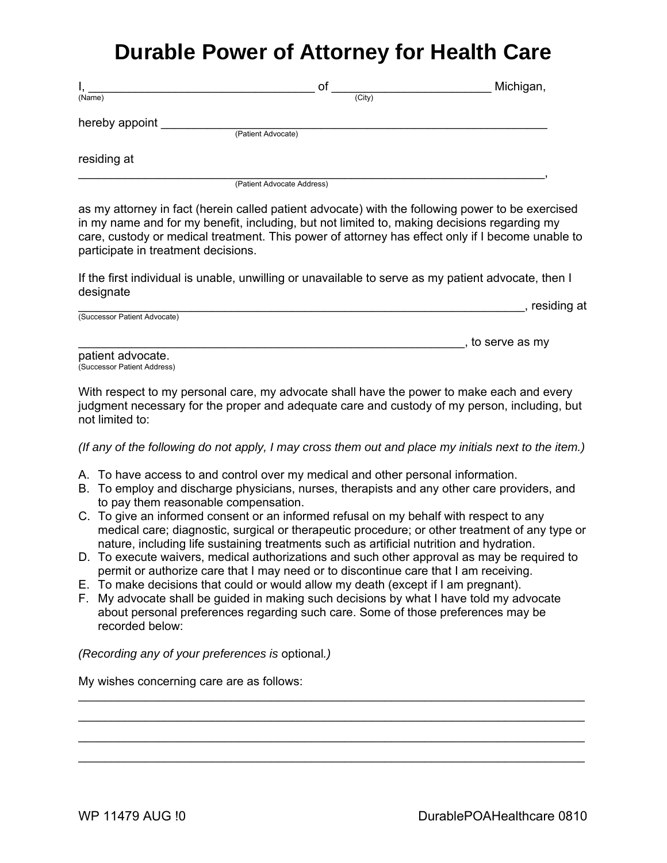## **Durable Power of Attorney for Health Care**

| ٠,             | οf                         | Michigan, |
|----------------|----------------------------|-----------|
| (Name)         | (City)                     |           |
| hereby appoint |                            |           |
|                | (Patient Advocate)         |           |
| residing at    |                            |           |
|                | (Patient Advocate Address) |           |

as my attorney in fact (herein called patient advocate) with the following power to be exercised in my name and for my benefit, including, but not limited to, making decisions regarding my care, custody or medical treatment. This power of attorney has effect only if I become unable to participate in treatment decisions.

If the first individual is unable, unwilling or unavailable to serve as my patient advocate, then I designate

|                              | residing at |
|------------------------------|-------------|
| (Successor Patient Advocate) |             |
|                              |             |

patient advocate. (Successor Patient Address)

With respect to my personal care, my advocate shall have the power to make each and every judgment necessary for the proper and adequate care and custody of my person, including, but not limited to:

*(If any of the following do not apply, I may cross them out and place my initials next to the item.)* 

- A. To have access to and control over my medical and other personal information.
- B. To employ and discharge physicians, nurses, therapists and any other care providers, and to pay them reasonable compensation.
- C. To give an informed consent or an informed refusal on my behalf with respect to any medical care; diagnostic, surgical or therapeutic procedure; or other treatment of any type or nature, including life sustaining treatments such as artificial nutrition and hydration.
- D. To execute waivers, medical authorizations and such other approval as may be required to permit or authorize care that I may need or to discontinue care that I am receiving.

\_\_\_\_\_\_\_\_\_\_\_\_\_\_\_\_\_\_\_\_\_\_\_\_\_\_\_\_\_\_\_\_\_\_\_\_\_\_\_\_\_\_\_\_\_\_\_\_\_\_\_\_\_\_\_\_\_\_\_\_\_\_\_\_\_\_\_\_\_\_\_\_\_\_\_\_ \_\_\_\_\_\_\_\_\_\_\_\_\_\_\_\_\_\_\_\_\_\_\_\_\_\_\_\_\_\_\_\_\_\_\_\_\_\_\_\_\_\_\_\_\_\_\_\_\_\_\_\_\_\_\_\_\_\_\_\_\_\_\_\_\_\_\_\_\_\_\_\_\_\_\_\_ \_\_\_\_\_\_\_\_\_\_\_\_\_\_\_\_\_\_\_\_\_\_\_\_\_\_\_\_\_\_\_\_\_\_\_\_\_\_\_\_\_\_\_\_\_\_\_\_\_\_\_\_\_\_\_\_\_\_\_\_\_\_\_\_\_\_\_\_\_\_\_\_\_\_\_\_ \_\_\_\_\_\_\_\_\_\_\_\_\_\_\_\_\_\_\_\_\_\_\_\_\_\_\_\_\_\_\_\_\_\_\_\_\_\_\_\_\_\_\_\_\_\_\_\_\_\_\_\_\_\_\_\_\_\_\_\_\_\_\_\_\_\_\_\_\_\_\_\_\_\_\_\_

- E. To make decisions that could or would allow my death (except if I am pregnant).
- F. My advocate shall be guided in making such decisions by what I have told my advocate about personal preferences regarding such care. Some of those preferences may be recorded below:

*(Recording any of your preferences is* optional*.)* 

My wishes concerning care are as follows:

 $\Box$ , to serve as my